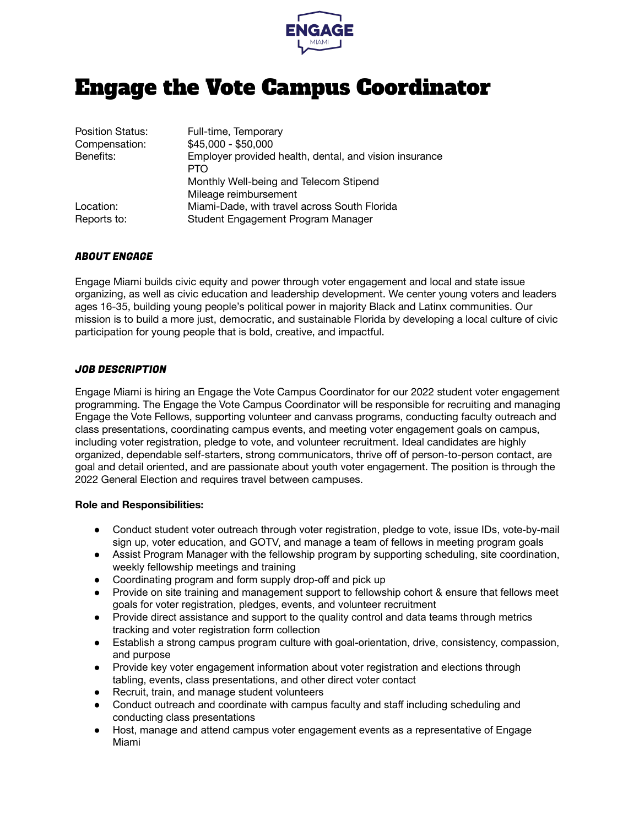

# Engage the Vote Campus Coordinator

| Position Status:         | Full-time, Temporary                                                               |
|--------------------------|------------------------------------------------------------------------------------|
| Compensation:            | $$45,000 - $50,000$                                                                |
| Benefits:                | Employer provided health, dental, and vision insurance<br><b>PTO</b>               |
|                          | Monthly Well-being and Telecom Stipend                                             |
|                          | Mileage reimbursement                                                              |
| Location:<br>Reports to: | Miami-Dade, with travel across South Florida<br>Student Engagement Program Manager |
|                          |                                                                                    |

### ABOUT ENGAGE

Engage Miami builds civic equity and power through voter engagement and local and state issue organizing, as well as civic education and leadership development. We center young voters and leaders ages 16-35, building young people's political power in majority Black and Latinx communities. Our mission is to build a more just, democratic, and sustainable Florida by developing a local culture of civic participation for young people that is bold, creative, and impactful.

#### JOB DESCRIPTION

Engage Miami is hiring an Engage the Vote Campus Coordinator for our 2022 student voter engagement programming. The Engage the Vote Campus Coordinator will be responsible for recruiting and managing Engage the Vote Fellows, supporting volunteer and canvass programs, conducting faculty outreach and class presentations, coordinating campus events, and meeting voter engagement goals on campus, including voter registration, pledge to vote, and volunteer recruitment. Ideal candidates are highly organized, dependable self-starters, strong communicators, thrive off of person-to-person contact, are goal and detail oriented, and are passionate about youth voter engagement. The position is through the 2022 General Election and requires travel between campuses.

#### **Role and Responsibilities:**

- Conduct student voter outreach through voter registration, pledge to vote, issue IDs, vote-by-mail sign up, voter education, and GOTV, and manage a team of fellows in meeting program goals
- Assist Program Manager with the fellowship program by supporting scheduling, site coordination, weekly fellowship meetings and training
- Coordinating program and form supply drop-off and pick up
- Provide on site training and management support to fellowship cohort & ensure that fellows meet goals for voter registration, pledges, events, and volunteer recruitment
- Provide direct assistance and support to the quality control and data teams through metrics tracking and voter registration form collection
- Establish a strong campus program culture with goal-orientation, drive, consistency, compassion, and purpose
- Provide key voter engagement information about voter registration and elections through tabling, events, class presentations, and other direct voter contact
- Recruit, train, and manage student volunteers
- Conduct outreach and coordinate with campus faculty and staff including scheduling and conducting class presentations
- Host, manage and attend campus voter engagement events as a representative of Engage Miami